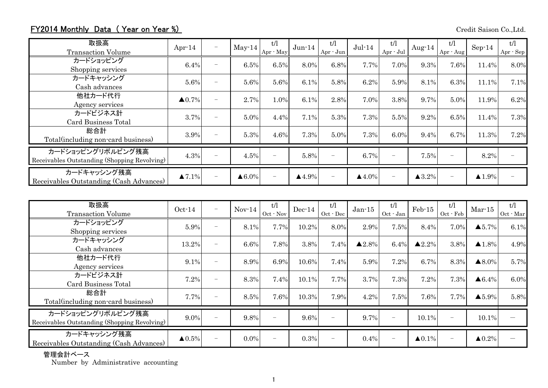## FY2014 Monthly Data (Year on Year %) Credit Saison Co.,Ltd.

| 取扱高<br><b>Transaction Volume</b>                                  | Apr $-14$         | $\overline{\phantom{0}}$ | $May-14$          | t/l<br>Apr - May | $Jun-14$              | t/l<br>Apr - Jun         | $Jul-14$              | t/l<br>Apr - Jul | Aug- $14$             | t/l<br>Apr - Aug  | $Sep-14$              | t/l<br>Apr - Sep |
|-------------------------------------------------------------------|-------------------|--------------------------|-------------------|------------------|-----------------------|--------------------------|-----------------------|------------------|-----------------------|-------------------|-----------------------|------------------|
| カードショッピング<br>Shopping services                                    | 6.4%              | $\overline{\phantom{a}}$ | 6.5%              | 6.5%             | 8.0%                  | 6.8%                     | 7.7%                  | 7.0%             | 9.3%                  | 7.6%              | 11.4%                 | 8.0%             |
| カードキャッシング<br>Cash advances                                        | 5.6%              | $\overline{\phantom{a}}$ | 5.6%              | 5.6%             | 6.1%                  | 5.8%                     | 6.2%                  | 5.9%             | 8.1%                  | 6.3%              | 11.1%                 | 7.1%             |
| 他社カード代行<br>Agency services                                        | $\triangle 0.7\%$ | $\overline{\phantom{0}}$ | 2.7%              | 1.0%             | 6.1%                  | 2.8%                     | 7.0%                  | 3.8%             | 9.7%                  | 5.0%              | 11.9%                 | 6.2%             |
| カードビジネス計<br>Card Business Total                                   | 3.7%              | $\overline{\phantom{0}}$ | 5.0%              | 4.4%             | 7.1%                  | 5.3%                     | 7.3%                  | 5.5%             | 9.2%                  | 6.5%              | 11.4%                 | 7.3%             |
| 総合計<br>Total (including non-card business)                        | 3.9%              |                          | 5.3%              | 4.6%             | 7.3%                  | 5.0%                     | 7.3%                  | 6.0%             | 9.4%                  | 6.7%              | 11.3%                 | 7.2%             |
| カードショッピングリボルビング残高<br>Receivables Outstanding (Shopping Revolving) | 4.3%              | $\overline{\phantom{0}}$ | 4.5%              |                  | 5.8%                  | $\overline{\phantom{0}}$ | 6.7%                  |                  | 7.5%                  | $\qquad \qquad -$ | 8.2%                  |                  |
| カードキャッシング残高<br>Receivables Outstanding (Cash Advances)            | $\triangle 7.1\%$ |                          | $\triangle 6.0\%$ |                  | $\blacktriangle$ 4.9% | $\overline{\phantom{0}}$ | $\blacktriangle$ 4.0% |                  | $\blacktriangle$ 3.2% | -                 | $\blacktriangle$ 1.9% |                  |

| 取扱高<br><b>Transaction Volume</b>                                  | $Oct-14$               | $\overline{\phantom{0}}$ | $Nov-14$ | t/l<br>$Oct$ $\cdot$ Nov | $Dec-14$ | t/l<br>$Oct - Dec$       | $Jan-15$               | t/l<br>$Oct - Jan$       | $Feb-15$               | t/1<br>Oct - Feb         | $Mar-15$               | t/l<br>Oct - Mar |
|-------------------------------------------------------------------|------------------------|--------------------------|----------|--------------------------|----------|--------------------------|------------------------|--------------------------|------------------------|--------------------------|------------------------|------------------|
| カードショッピング<br>Shopping services                                    | 5.9%                   | $\overline{\phantom{a}}$ | 8.1%     | 7.7%                     | 10.2%    | 8.0%                     | 2.9%                   | 7.5%                     | 8.4%                   | 7.0%                     | $\blacktriangle 5.7\%$ | 6.1%             |
| カードキャッシング<br>Cash advances                                        | 13.2%                  |                          | 6.6%     | 7.8%                     | 3.8%     | 7.4%                     | $\blacktriangle 2.8\%$ | 6.4%                     | $\blacktriangle 2.2\%$ | 3.8%                     | $\blacktriangle$ 1.8%  | 4.9%             |
| 他社カード代行<br>Agency services                                        | 9.1%                   | $\overline{\phantom{0}}$ | 8.9%     | 6.9%                     | 10.6%    | 7.4%                     | 5.9%                   | 7.2%                     | 6.7%                   | 8.3%                     | $\blacktriangle 8.0\%$ | 5.7%             |
| カードビジネス計<br>Card Business Total                                   | 7.2%                   | ۰                        | 8.3%     | 7.4%                     | 10.1%    | 7.7%                     | 3.7%                   | 7.3%                     | 7.2%                   | 7.3%                     | $\triangle 6.4\%$      | 6.0%             |
| 総合計<br>Total (including non-card business)                        | 7.7%                   | ۰                        | 8.5%     | 7.6%                     | 10.3%    | 7.9%                     | 4.2%                   | 7.5%                     | 7.6%                   | 7.7%                     | $\blacktriangle 5.9\%$ | 5.8%             |
| カードショッピングリボルビング残高<br>Receivables Outstanding (Shopping Revolving) | 9.0%                   |                          | 9.8%     |                          | 9.6%     | $\overline{\phantom{0}}$ | 9.7%                   | $\overline{\phantom{a}}$ | 10.1%                  | $\qquad \qquad -$        | 10.1%                  |                  |
| カードキャッシング残高<br>Receivables Outstanding (Cash Advances)            | $\blacktriangle 0.5\%$ |                          | $0.0\%$  |                          | 0.3%     |                          | 0.4%                   | $\overline{\phantom{a}}$ | $\triangle 0.1\%$      | $\overline{\phantom{0}}$ | $\blacktriangle 0.2\%$ |                  |

管理会計ベース

Number by Administrative accounting